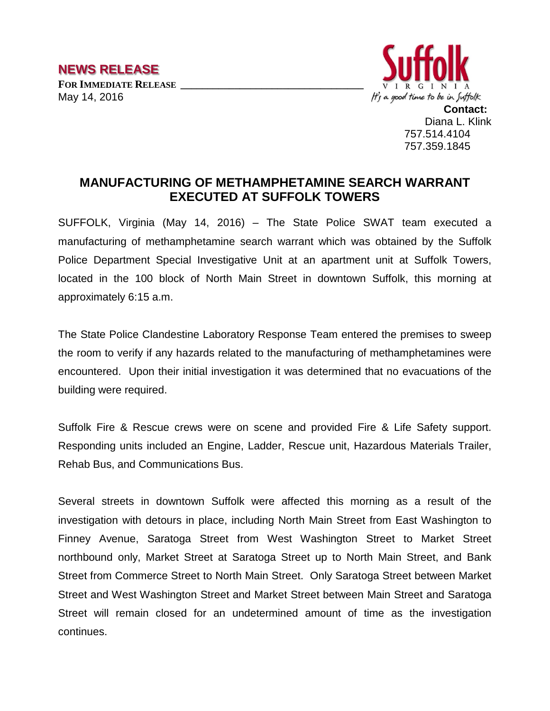

**Contact:** Diana L. Klink 757.514.4104 757.359.1845

## **MANUFACTURING OF METHAMPHETAMINE SEARCH WARRANT EXECUTED AT SUFFOLK TOWERS**

SUFFOLK, Virginia (May 14, 2016) – The State Police SWAT team executed a manufacturing of methamphetamine search warrant which was obtained by the Suffolk Police Department Special Investigative Unit at an apartment unit at Suffolk Towers, located in the 100 block of North Main Street in downtown Suffolk, this morning at approximately 6:15 a.m.

The State Police Clandestine Laboratory Response Team entered the premises to sweep the room to verify if any hazards related to the manufacturing of methamphetamines were encountered. Upon their initial investigation it was determined that no evacuations of the building were required.

Suffolk Fire & Rescue crews were on scene and provided Fire & Life Safety support. Responding units included an Engine, Ladder, Rescue unit, Hazardous Materials Trailer, Rehab Bus, and Communications Bus.

Several streets in downtown Suffolk were affected this morning as a result of the investigation with detours in place, including North Main Street from East Washington to Finney Avenue, Saratoga Street from West Washington Street to Market Street northbound only, Market Street at Saratoga Street up to North Main Street, and Bank Street from Commerce Street to North Main Street. Only Saratoga Street between Market Street and West Washington Street and Market Street between Main Street and Saratoga Street will remain closed for an undetermined amount of time as the investigation continues.